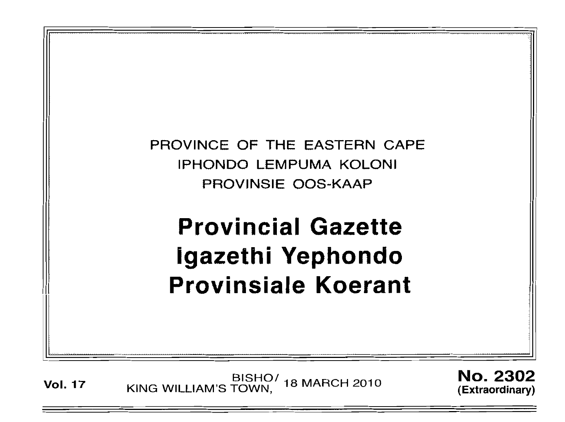

Vol. 17 KING WILLIAM'S TOWN, 18 MARCH 2010

No. 2302 (Extraordinary)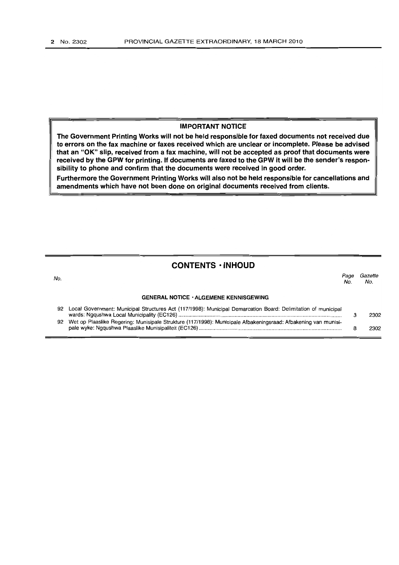No.

#### **IMPORTANT NOTICE**

**The Government Printing Works will not be held responsible for faxed documents not received due to errors on the fax machine or faxes received which are unclear or incomplete. Please be advised that an "OK" slip, received from a fax machine, will not be accepted as proof that documents were received by the GPW for printing. If documents are faxed to the GPW it will be the sender's responsibility to phone and confirm that the documents were received in good order.**

**Furthermore the Government Printing Works will also not be held responsible for cancellations and amendments which have not been done on original documents received from clients.**

### **CONTENTS· INHOUD**

Page Gazette No. No.

#### **GENERAL NOTICE' ALGEMENE KENNISGEWING**

| 92 Local Government: Municipal Structures Act (117/1998): Municipal Demarcation Board: Delimitation of municipal  | 2302 |
|-------------------------------------------------------------------------------------------------------------------|------|
| 92 Wet op Plaaslike Regering: Munisipale Strukture (117/1998): Munisipale Afbakeningsraad: Afbakening van munisi- | 2302 |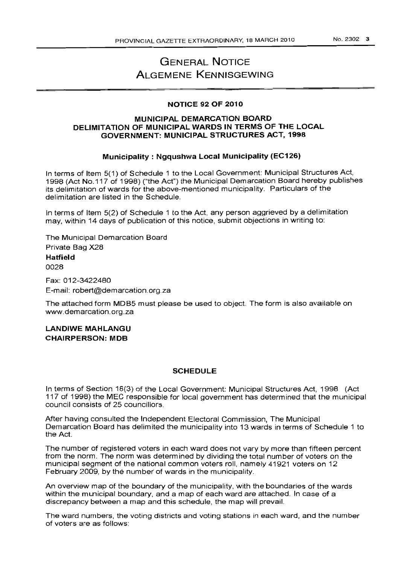# **GENERAL NOTICE ALGEMEf\lE KENNISGEWING**

#### **NOTICE 92 OF 2010**

### **MUNICIPAL DEMARCATION BOARD DELIMITATION OF MUNICIPAL WARDS IN TERMS OF THE LOCAL GOVERNMENT: MUNICIPAL STRUCTURES ACT, 1998**

#### **Municipality: Ngqushwa Local Municipality (EC126)**

In terms of Item 5(1) of Schedule 1 to the Local Government: Municipal Structures Act, 1998 (Act NO.117 of 1998) ("the Act") the Municipal Demarcation Board hereby publishes its delimitation of wards for the above-mentioned municipality. Particulars of the delimitation are listed in the Schedule.

In terms of Item 5(2) of Schedule 1 to the Act, any person aggrieved by a delimitation may, within 14 days of publication of this notice, submit objections in writing to:

The Municipal Demarcation Board Private Bag X28

#### **Hatfield**

0028

Fax: 012-3422480 E-mail: robert@demarcation.org.za

The attached form MDB5 must please be used to object. The form is also available on www.demarcation.org.za

**LANDIWE MAHLANGU CHAIRPERSON: MDB**

#### **SCHEDULE**

In terms of Section 18(3) of the Local Government: Municipal Structures Act, 1998 (Act 117 of 1998) the MEC responsible for local government has determined that the municipal council consists of 25 councillors.

After having consulted the Independent Electoral Commission, The Municipal Demarcation Board has delimited the municipality into 13 wards in terms of Schedule 1 to the Act.

The number of registered voters in each ward does not vary by more than fifteen percent from the norm. The norm was determined by dividing the total number of voters on the municipal segment of the national common voters roll, namely 41921 voters on 12 February 2009, by the number of wards in the municipality.

An overview map of the boundary of the municipality, with the boundaries of the wards within the municipal boundary, and a map of each ward are attached. In case of a discrepancy between a map and this schedule, the map will prevail.

The ward numbers, the voting districts and voting stations in each ward, and the number of voters are as follows: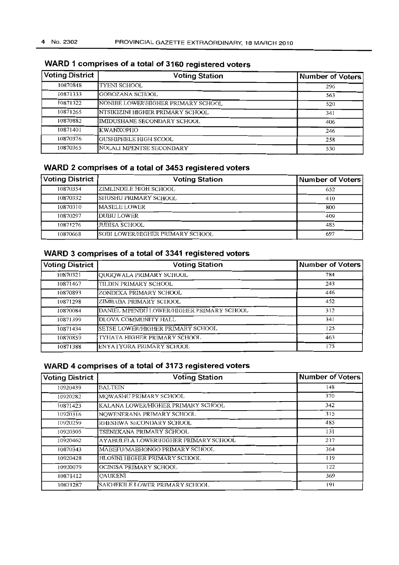| <b>Voting District</b> | <b>Voting Station</b>              | Number of Voters |
|------------------------|------------------------------------|------------------|
| 10870848               | TYENI SCHOOL                       | 296              |
| 10871333               | GOBOZANA SCHOOL                    | 563              |
| 10871322               | NONIBE LOWER\HIGHER PRIMARY SCHOOL | 520              |
| 10871265               | NTSIKIZINI HIGHER PRIMARY SCHOOL   | 341              |
| 10870882               | IMIDUSHANE SECONDARY SCHOOL        | 406              |
| 10871401               | KWANXOPHO                          | 246              |
| 10870376               | GUSHIPHELE HIGH SCOOL              | 258              |
| 10870365               | NOLALI MPENTSE SECONDARY           | 530              |

# **WARD 1 comprises of a total of 3160 registered voters**

# **WARD 2 comprises of a total of 3453 registered voters**

| <b>Voting District</b> | <b>Voting Station</b>            | Number of Voters |
|------------------------|----------------------------------|------------------|
| 10870354               | IZIMLINDILE HIGH SCHOOL          | 652              |
| 10870332               | SHUSHU PRIMARY SCHOOL            | 410              |
| 10870310               | IMASELE LOWER                    | 800              |
| 10870297               | IDUBU LOWER                      | 409              |
| 10871276               | <b>IJUBISA SCHOOL</b>            | 485              |
| 10870668               | SOBI LOWER/HIGHER PRIMARY SCHOOL | 697              |

## **WARD 3 comprises of a total of 3341 registered voters**

| <b>Voting District</b> | <b>Voting Station</b>                     | Number of Voters |
|------------------------|-------------------------------------------|------------------|
| 10870321               | QUGQWALA PRIMARY SCHOOL                   | 784              |
| 10871467               | TILDIN PRIMARY SCHOOL                     | 243              |
| 10870893               | ZONDEKA PRIMARY SCHOOL                    | 446              |
| 10871298               | ZIMBABA PRIMARY SCHOOL                    | 452              |
| 10870084               | DANIEL MPENDU LOWER/HIGHER PRIMARY SCHOOL | 312              |
| 10871399               | DLOVA COMMUNITY HALL                      | 341              |
| 10871434               | SETSE LOWER/HIGHER PRIMARY SCHOOL         | 125              |
| 10870859               | TYHATA HIGHER PRIMARY SCHOOL              | 463              |
| 10871388               | ENYATYORA PRIMARY SCHOOL                  | 175              |

### **WARD 4 comprises of a total of 3173 registered voters**

| <b>Voting District</b> | <b>Voting Station</b>                 | <b>Number of Voters</b> |
|------------------------|---------------------------------------|-------------------------|
| 10920439               | <b>BALTEIN</b>                        | 148                     |
| 10920282               | MOWASHU PRIMARY SCHOOL                | 370                     |
| 10871423               | KALANA LOWER/HIGHER PRIMARY SCHOOL    | 342                     |
| 10920316               | NOWENERANA PRIMARY SCHOOL             | 315                     |
| 10920259               | RHESHWA SECONDARY SCHOOL              | 485                     |
| 10920305               | TSENEKANA PRIMARY SCHOOL              | 131                     |
| 10920462               | AYABULELA LOWER\HIGHER PRIMARY SCHOOL | 217                     |
| 10870343               | MABEFU/MABHONGO PRIMARY SCHOOL        | 364                     |
| 10920428               | HLOSINI HIGHER PRIMARY SCHOOL         | 119                     |
| 10920079               | <b>GCINISA PRIMARY SCHOOL</b>         | 122                     |
| 10871412               | <b>OAUKENI</b>                        | 369                     |
| 10871287               | SAKHEKILE LOWER PRIMARY SCHOOL        | 191                     |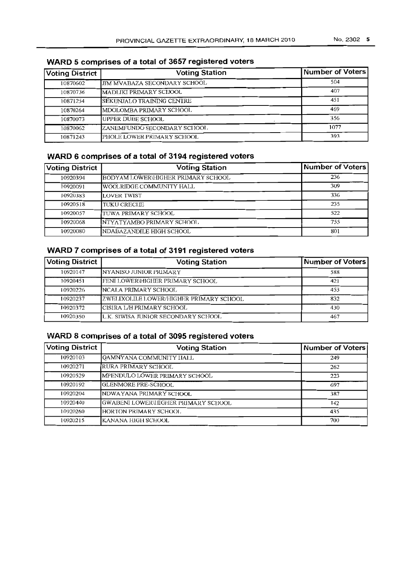| <b>Voting District</b> | <b>Voting Station</b>        | Number of Voters |
|------------------------|------------------------------|------------------|
| 10870602               | JIM MVABAZA SECONDARY SCHOOL | 504              |
| 10870736               | MADLIKI PRIMARY SCHOOL       | 407              |
| 10871254               | SEKUNJALO TRAINING CENTRE    | 451              |
| 10870264               | MDOLOMBA PRIMARY SCHOOL      | 469              |
| 10870073               | <b>UPPER DUBE SCHOOL</b>     | 356              |
| 10870062               | ZANEMFUNDO SECONDARY SCHOOL  | 1077             |
| 10871243               | PHOLE LOWER PRIMARY SCHOOL   | 393              |

### **WARD 5 comprises of a total of 3657 registered voters**

# **WARD 6 comprises of a total of 3194 registered voters**

| <b>Voting District</b> | <b>Voting Station</b>              | <b>Number of Voters</b> |
|------------------------|------------------------------------|-------------------------|
| 10920394               | BODYAM LOWER\HIGHER PRIMARY SCHOOL | 236                     |
| 10920091               | WOOLRIDGE COMMUNITY HALL           | 309                     |
| 10920383               | <b>LOVER TWIST</b>                 | 336                     |
| 10920518               | <b>TUKU CRECIEE</b>                | 235                     |
| 10920057               | TUWA PRIMARY SCHOOL                | 522                     |
| 10920068               | <b>INTYATYAMBO PRIMARY SCHOOL</b>  | 755                     |
| 10920080               | NDABAZANDILE HIGH SCHOOL           | 801                     |

# **WARD 7 comprises of a total of 3191 registered voters**

| <b>Voting District</b> | <b>Voting Station</b>                   | <b>Number of Voters</b> |
|------------------------|-----------------------------------------|-------------------------|
| 10920147               | INYANISO JUNIOR PRIMARY                 | 588                     |
| 10920451               | <b>FEMI LOWER\HIGHER PRIMARY SCHOOL</b> | 421                     |
| 10920226               | NCALA PRIMARY SCHOOL                    | 453                     |
| 10920237               | ZWELIXOLILE LOWER/HIGHER PRIMARY SCHOOL | 832                     |
| 10920372               | ICISIRA L/H PRIMARY SCHOOL              | 430                     |
| 10920350               | L.K. SIWISA JUNIOR SECONDARY SCHOOL     | 467                     |

# **WARD 8 comprises of a** total **of 3095 registered voters**

| <b>Voting District</b> | <b>Voting Station</b>               | <b>Number of Voters</b> |
|------------------------|-------------------------------------|-------------------------|
| 10920103               | QAMNYANA COMMUNITY IJALL            | 249                     |
| 10920271               | RURA PRIMARY SCHOOL                 | 262                     |
| 10920529               | MPENDULO LOWER PRIMARY SCHOOL       | 223                     |
| 10920192               | GLENMORE PRE-SCHOOL                 | 697                     |
| 10920204               | NDWAYANA PRIMARY SCHOOL             | 387                     |
| 10920440               | GWABENI LOWER\IIGHER PRIMARY SCHOOL | I42                     |
| 10920260               | HORTON PRIMARY SCHOOL               | 435                     |
| 10920215               | KANANA HIGH SCHOOL                  | 700                     |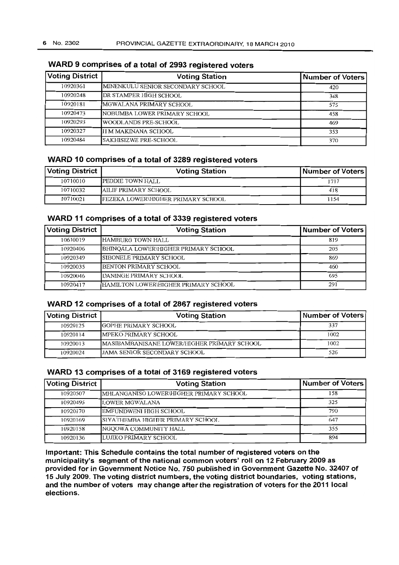# **Voting District Voting Station Number of Voters** 10920361 MINENKULU SENIOR SECONDARY SCHOOL 420 10920248 DR STAMPER HIGH SCHOOL 348 J0920181 MGWALANA PRIMARY SCHOOL 575 10920473 NOBUMBA LOWER PRIMARY SCHOOL 458 10920293 WOODLANDS PRE-SCHOOL 469 10920327 II M MAKINANA SCHOOL 353 10920484 SAKHISIZWE PRE-SCHOOL 370

# **WARD 9 comprises of a total of 2993 registered voters**

## **WARD 10 comprises of a total of 3289 registered voters**

| <b>Voting District</b> | <b>Voting Station</b>                     | Number of Voters |
|------------------------|-------------------------------------------|------------------|
| 10710010               | PEDDIE TOWN HALL                          | 1717             |
| 10710032               | AILIF PRIMARY SCHOOL                      | 418              |
| 10710021               | <b>FEZEKA LOWER\HIGHER PRIMARY SCHOOL</b> | 1154             |

### **WARD 11 comprises of a total of 3339 registered voters**

| <b>Voting District</b> | <b>Voting Station</b>                | Number of Voters |
|------------------------|--------------------------------------|------------------|
| 10610019               | HAMBURG TOWN HALL                    | 819              |
| 10920406               | BHINQALA LOWER\HIGHER PRIMARY SCHOOL | 205              |
| 10920349               | <b>ISIBONELE PRIMARY SCHOOL</b>      | 869              |
| 10920035               | <b>IBENTON PRIMARY SCHOOL</b>        | 460              |
| 10920046               | IDANINGE PRIMARY SCHOOL              | 695              |
| 10920417               | HAMILTON LOWER\HIGHER PRIMARY SCHOOL | 291              |

### **WARD 12 comprises of a total of 2867 registered voters**

| <b>Voting District</b> | <b>Voting Station</b>                       | Number of Voters |
|------------------------|---------------------------------------------|------------------|
| 10920125               | <b>IGOPHE PRIMARY SCHOOL</b>                | 337              |
| 10920114               | <b>IMPEKO PRIMARY SCHOOL</b>                | 1002             |
| 10920013               | MASTBAMBANISANE LOWER/HIGHER PRIMARY SCHOOL | 1002             |
| 10920024               | IJAMA SENIOR SECONDARY SCHOOL               | 526              |

### **WARD 13 comprises of a total of 3169 registered voters**

| <b>Voting District</b> | <b>Voting Station</b>                   | Number of Voters |
|------------------------|-----------------------------------------|------------------|
| 10920507               | MHLANGANISO LOWER\HIGHER PRIMARY SCHOOL | 158              |
| 10920495               | LOWER MGWALANA                          | 325              |
| 10920170               | EMFUNDWENI HIGH SCHOOL                  | 790              |
| 10920169               | SIYATHEMBA HIGHER PRIMARY SCHOOL        | 647              |
| 10920158               | NGOOWA COMMUNITY HALL                   | 355              |
| 10920136               | LUJIKO PRIMARY SCHOOL                   | 894              |

**Important: This Schedule contains the total number of registered voters on the municipality's segment of the national common voters' roll on 12 February 2009 as provided for in Government Notice No. 750 published in Government Gazette No. 32407 of 15 July 2009. The voting district numbers, the voting district boundaries, voting stations, and the number of voters may change after the registration of voters for the 2011 local elections.**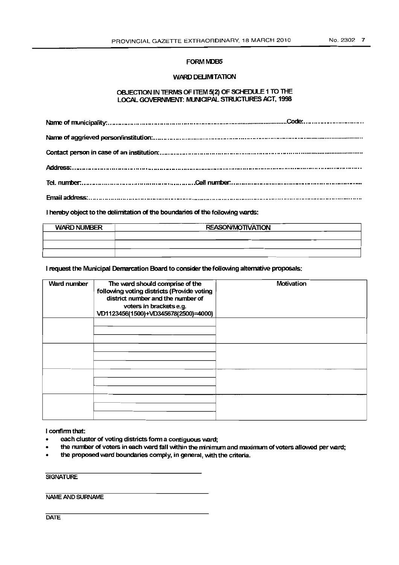#### FORM MDB5

#### WARD DELIMITATION

#### OBJECTION IN TERMS OF ITEM 5(2) OF SCHEDULE 1 TO THE LOCAL GOVERNMENT: MUNICIPAL STRUCTURES ACT, 1998

I hereby object to the delimitation of the boundaries of the following wards:

| <b>WARD NUMBER</b> | <b>REASON/MOTIVATION</b> |
|--------------------|--------------------------|
|                    |                          |
|                    |                          |
|                    |                          |

I request the Municipal Demarcation Board to considerthe following alternative proposals:

| Ward number | The ward should comprise of the<br>following voting districts (Provide voting<br>district number and the number of<br>voters in brackets e.g.<br>VD1123456(1500)+VD345678(2500)=4000) | Motivation |
|-------------|---------------------------------------------------------------------------------------------------------------------------------------------------------------------------------------|------------|
|             |                                                                                                                                                                                       |            |
|             |                                                                                                                                                                                       |            |
|             |                                                                                                                                                                                       |            |
|             |                                                                                                                                                                                       |            |

#### I confirm that:

- each cluster of voting districts form a contiguous ward;
- the number of voters in each ward fall within the minimum and maximum of voters allowed per ward;
- the proposed ward boundaries comply, in general, with the criteria.

#### **SIGNATURE**

NAME AND SURNAME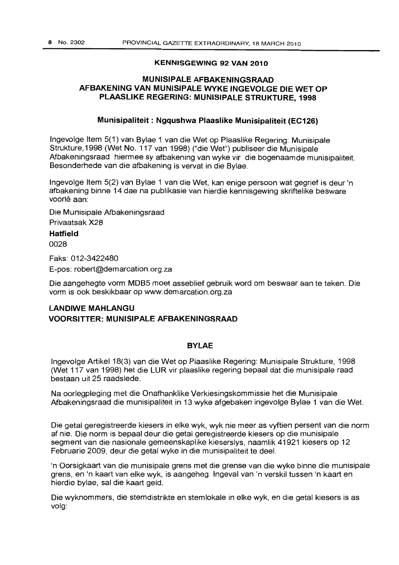#### **KENNISGEWING 92 VAN 2010**

### **MUNISIPALE AFBAKENINGSRAAD AFBAKENING VAN MUNISIPALE WYKE INGEVOLGE DIE WET OP PLAASLIKE REGERING: MUNISIPALE STRUKTURE, 1998**

#### **Munisipaliteit: Ngqushwa Plaaslike Munisipaliteit (EC126)**

Ingevolge Item 5(1) van Bylae 1 van die Wet op Plaaslike Regering: Munisipale Strukture, 1998 (Wet No. 117 van 1998) ("die Wet") publiseer die Munisipale Afbakeningsraad hiermee sy afbakening van wyke vir die bogenaamde munisipaliteit. Besonderhede van die afbakening is vervat in die Bylae.

Ingevolge Item 5(2) van Bylae 1 van die Wet, kan enige persoon wat gegrief is deur 'n afbakening binne 14 dae na publikasie van hierdie kennisgewing skriftelike besware voorlê aan:

Die Munisipale Afbakeningsraad Privaatsak X28

#### **Hatfield**

0028

Faks: 012-3422480

E-pos: robert@demarcation.org.za

Die aangehegte vorm MDB5 moet asseblief gebruik word om beswaar aan te teken. Die vorm is ook beskikbaar op www.demarcation.org.za

# **LANDIWE MAHLANGU VOORSITTER: MUNISIPALE AFBAKENINGSRAAD**

### **BYLAE**

Ingevolge Artikel 18(3) van die Wet op Plaaslike Regering: Munisipale Strukture, 1998 (Wet 117 van 1998) het die LUR vir plaaslike regering bepaal dat die munisipale raad bestaan uit 25 raadslede.

Na oorlegpleging met die Onafhanklike Verkiesingskommissie het die Munisipale Afbakeningsraad die munisipaliteit in 13 wyke afgebaken ingevolge Bylae 1 van die Wet.

Die getal geregistreerde kiesers in elke wyk, wyk nie meer as vyftien persent van die norm af nie. Die norm is bepaal deur die getal geregistreerde kiesers op die munisipale segment van die nasionale gemeenskaplike kieserslys, naamlik 41921 kiesers op 12 Februarie 2009, deur die getal wyke in die munisipaliteit te dee!

'n Oorsigkaart van die munisipale grens met die grense van die wyke binne die munisipale grens, en 'n kaart van elke wyk, is aangeheg. Ingeval van 'n verskil tussen 'n kaart en hierdie bylae, sal die kaart geld.

Die wyknommers, die stemdistrikte en stemlokale in elke wyk, en die getal kiesers is as volg: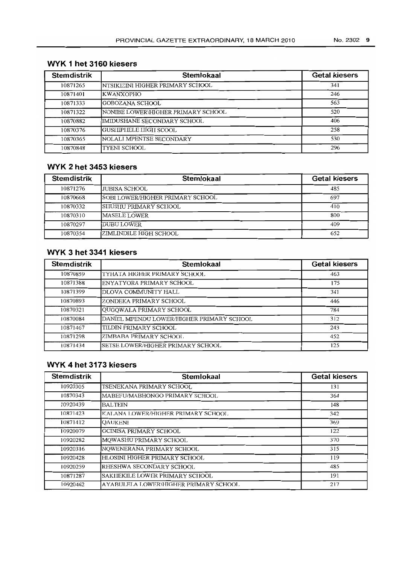| <b>Stemdistrik</b> | Stemlokaal                         | <b>Getal kiesers</b> |
|--------------------|------------------------------------|----------------------|
| 10871265           | İNTSIKIZINI HIGHER PRIMARY SCHOOL  | 341                  |
| 10871401           | <b>IKWANXOPHO</b>                  | 246                  |
| 10871333           | IGOBOZANA SCHOOL                   | 563                  |
| 10871322           | NONIBE LOWER\HIGHER PRIMARY SCHOOL | 520                  |
| 10870882           | IMIDUSHANE SECONDARY SCHOOL        | 406                  |
| 10870376           | IGUSHIPHELE HIGH SCOOL             | 258                  |
| 10870365           | NOLALI MPENTSE SECONDARY           | 530                  |
| 10870848           | <b>TYENI SCHOOL</b>                | 296                  |

# **WYK 1 het 3160 kiesers**

# **WYK 2 het 3453 kiesers**

| <b>Stemdistrik</b> | <b>Stemlokaal</b>                 | <b>Getal kiesers</b> |
|--------------------|-----------------------------------|----------------------|
| 10871276           | LJUBISA SCHOOL                    | 485                  |
| 10870668           | ISOBI LOWER/HIGHER PRIMARY SCHOOL | 697                  |
| 10870332           | <b>ISHUSHU PRIMARY SCHOOL</b>     | 410                  |
| 10870310           | <b>IMASELE LOWER</b>              | 800                  |
| 10870297           | <b>IDUBU LOWER</b>                | 409                  |
| 10870354           | <b>ZIMLINDILE HIGH SCHOOL</b>     | 652                  |

# **WYK 3 het 3341 kiesers**

| <b>Stemdistrik</b> | Stemlokaal                                | <b>Getal kiesers</b> |
|--------------------|-------------------------------------------|----------------------|
| 10870859           | TYHATA HIGHER PRIMARY SCHOOL              | 463                  |
| 10871388           | ENYATYORA PRIMARY SCHOOL                  | 175                  |
| 10871399           | <b>IDLOVA COMMUNITY HALL</b>              | 341                  |
| 10870893           | ZONDEKA PRIMARY SCHOOL                    | 446                  |
| 10870321           | QUGOWALA PRIMARY SCHOOL                   | 784                  |
| 10870084           | DANIEL MPENDU LOWER/HIGHER PRIMARY SCHOOL | 312                  |
| 10871467           | TILDIN PRIMARY SCHOOL                     | 243                  |
| 10871298           | IZIMBABA PRIMARY SCHOOL                   | 452                  |
| 10871434           | ISETSE LOWER/HIGHER PRIMARY SCHOOL        | 125                  |

# **WYK 4 het 3173 kiesers**

| <b>Stemdistrik</b> | <b>Stemlokaal</b>                     | <b>Getal kiesers</b> |
|--------------------|---------------------------------------|----------------------|
| 10920305           | TSENEKANA PRIMARY SCHOOL              | 131                  |
| 10870343           | MABEFU/MABHONGO PRIMARY SCHOOL        | 364                  |
| 10920439           | <b>BALTEIN</b>                        | 148                  |
| 10871423           | KALANA LOWER/HIGHER PRIMARY SCHOOL    | 342                  |
| 10871412           | <b>QAUKENI</b>                        | 369                  |
| 10920079           | GCINISA PRIMARY SCHOOL                | 122                  |
| 10920282           | MQWASHU PRIMARY SCHOOL                | 370                  |
| 10920316           | NQWENERANA PRIMARY SCHOOL             | 315                  |
| 10920428           | HLOSINI HIGHER PRIMARY SCHOOL         | 119                  |
| 10920259           | RHESHWA SECONDARY SCHOOL              | 485                  |
| 10871287           | SAKIIEKILE LOWER PRIMARY SCHOOL       | 191                  |
| 10920462           | AYABULELA LOWER\HIGHER PRIMARY SCHOOL | 217                  |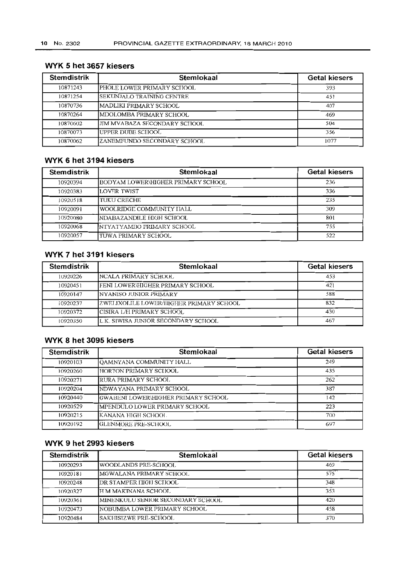| <b>Stemdistrik</b> | Stemlokaal                   | <b>Getal kiesers</b> |
|--------------------|------------------------------|----------------------|
| 10871243           | PHOLE LOWER PRIMARY SCHOOL   | 393                  |
| 10871254           | SEKUNJALO TRAINING CENTRE    | 451                  |
| 10870736           | IMADLIKI PRIMARY SCHOOL      | 407                  |
| 10870264           | IMDOLOMBA PRIMARY SCHOOL     | 469                  |
| 10870602           | JIM MVABAZA SECONDARY SCHOOL | 504                  |
| 10870073           | UPPER DUBE SCHOOL            | 356                  |
| 10870062           | ZANEMFUNDO SECONDARY SCHOOL  | 1077                 |

# WYK 5 het 3657 kiesers

# WYK 6 het 3194 kiesers

| <b>Stemdistrik</b> | Stemlokaal                         | <b>Getal kiesers</b> |
|--------------------|------------------------------------|----------------------|
| 10920394           | BODYAM LOWER\HIGHER PRIMARY SCHOOL | 236                  |
| 10920383           | LOVER TWIST                        | 336                  |
| 10920518           | TUKU CRECHE                        | 235                  |
| 10920091           | WOOLRIDGE COMMUNITY IIALL          | 309                  |
| 10920080           | INDABAZANDILE HIGH SCHOOL          | 801                  |
| 10920068           | NTYATYAMBO PRIMARY SCHOOL          | 755                  |
| 10920057           | TUWA PRIMARY SCHOOL                | 522                  |

# WYK 7 het 3191 kiesers

| <b>Stemdistrik</b> | Stemlokaal                              | <b>Getal kiesers</b> |
|--------------------|-----------------------------------------|----------------------|
| 10920226           | INCALA PRIMARY SCHOOL                   | 453                  |
| 10920451           | <b>FENI LOWER\HIGHER PRIMARY SCHOOL</b> | 421                  |
| 10920147           | <b>INYANISO JUNIOR PRIMARY</b>          | 588                  |
| 10920237           | ZWELIXOLILE LOWER/HIGHER PRIMARY SCHOOL | 832                  |
| 10920372           | ICISIRA L/H PRIMARY SCHOOL              | 430                  |
| 10920350           | L.K. SIWISA JUNIOR SECONDARY SCHOOL     | 467                  |

### WYK 8 het 3095 kiesers

| <b>Stemdistrik</b> | Stemlokaal                            | <b>Getal kiesers</b> |
|--------------------|---------------------------------------|----------------------|
| 10920103           | QAMNYANA COMMUNITY HALL               | 249                  |
| 10920260           | HORTON PRIMARY SCHOOL                 | 435                  |
| 10920271           | RURA PRIMARY SCHOOL                   | 262                  |
| 10920204           | NDWAYANA PRIMARY SCHOOL               | 387                  |
| 10920440           | IGWABENI LOWER\HIGHER PRIMARY SCHOOL  | 142                  |
| 10920529           | <b>IMPENDULO LOWER PRIMARY SCHOOL</b> | 223                  |
| 10920215           | KANANA HIGH SCHOOL                    | 700                  |
| 10920192           | IGLENMORE PRE-SCHOOL                  | 697                  |

# WYK 9 het 2993 kiesers

| <b>Stemdistrik</b> | Stemlokaal                          | <b>Getal kiesers</b> |
|--------------------|-------------------------------------|----------------------|
| 10920293           | WOODLANDS PRE-SCHOOL                | 469                  |
| 10920181           | MGWALANA PRIMARY SCHOOL             | 575                  |
| 10920248           | <b>DR STAMPER HIGH SCHOOL</b>       | 348                  |
| 10920327           | IH M MAKINANA SCHOOL                | 353                  |
| 10920361           | MINENKULU SENIOR SECONDARY SCHOOL   | 420                  |
| 10920473           | <b>NOBUMBA LOWER PRIMARY SCHOOL</b> | 458                  |
| 10920484           | ISAKHISIZWE PRE-SCHOOL              | 370                  |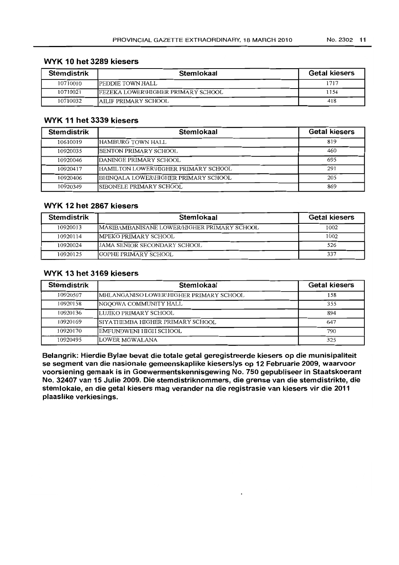### **WYK 10 het 3289 kiesers**

| <b>Stemdistrik</b> | Stemlokaal                                 | <b>Getal kiesers</b> |
|--------------------|--------------------------------------------|----------------------|
| 10710010           | <b>IPEDDIE TOWN HALL</b>                   | 1717                 |
| 10710021           | <b>IFEZEKA LOWER\HIGHER PRIMARY SCHOOL</b> | 1154                 |
| 10710032           | <b>JAILIF PRIMARY SCHOOL</b>               | 418                  |

### **WYK 11 het 3339 kiesers**

| <b>Stemdistrik</b> | Stemlokaal                            | <b>Getal kiesers</b> |
|--------------------|---------------------------------------|----------------------|
| 10610019           | HAMBURG TOWN HALL                     | 819                  |
| 10920035           | <b>IBENTON PRIMARY SCHOOL</b>         | 460                  |
| 10920046           | DANINGE PRIMARY SCHOOL                | 695                  |
| 10920417           | IHAMILTON LOWER\HIGHER PRIMARY SCHOOL | 291                  |
| 10920406           | BHINQALA LOWER\HIGHER PRIMARY SCHOOL  | 205                  |
| 10920349           | ISIBONELE PRIMARY SCHOOL              | 869                  |

### **WYK 12 het 2867 kiesers**

| <b>Stemdistrik</b> | Stemlokaal                                   | <b>Getal kiesers</b> |
|--------------------|----------------------------------------------|----------------------|
| 10920013           | IMASIBAMBANISANE LOWER/HIGHER PRIMARY SCHOOL | 1002                 |
| 10920114           | <b>IMPEKO PRIMARY SCHOOL</b>                 | 1002                 |
| 10920024           | <b>JAMA SENIOR SECONDARY SCHOOL</b>          | 526                  |
| 10920125           | <b>IGOPHE PRIMARY SCHOOL</b>                 | 337                  |

### **WYK 13 het 3169 kiesers**

| <b>Stemdistrik</b> | Stemlokaal                              | <b>Getal kiesers</b> |
|--------------------|-----------------------------------------|----------------------|
| 10920507           | MHLANGANISO LOWER\HIGHER PRIMARY SCHOOL | 158                  |
| 10920158           | NGOOWA COMMUNITY HALL                   | 355                  |
| 10920136           | LUJIKO PRIMARY SCHOOL                   | 894                  |
| 10920169           | ISIYATHEMBA HIGHER PRIMARY SCHOOL       | 647                  |
| 10920170           | EMFUNDWENI HIGH SCHOOL                  | 790                  |
| 10920495           | LOWER MGWALANA                          | 325                  |

**Belangrik: Hierdie Bylae bevat die totale getal geregistreerde kiesers op die munisipaliteit se segment van die nasionale gemeenskaplike kieserslys op 12 Februarie 2009, waarvoor voorsiening gemaak is in Goewermentskennisgewing 1\10. 750 gepubliseer in Staatskoerant No. 32407 van 15 Julie 2009. Die stemdistriknommers, die grense van die stemdistrikte, die stemlokale, en die getal kiesers mag verander na die registrasie van kiesers vir die 2011 plaaslike verkiesings.**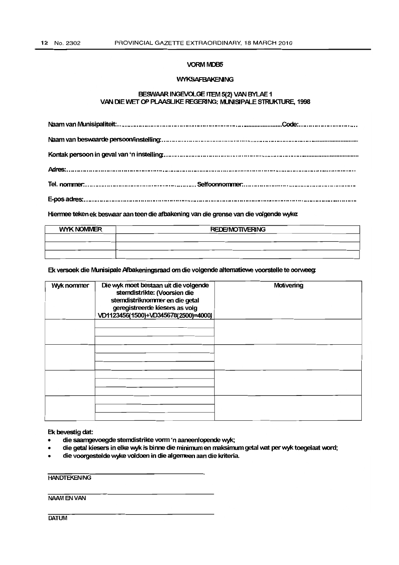#### **VORM MDB5**

#### WYKSAFBAKENNG

#### BESWAAR INGEVOLGE ITEM 5(2) VAN BYLAE 1 VAN DIE WET OP PLAASLIKE REGERING: MUNISIPALE STRUKTURE, 1998

Hiermee teken ek beswaar aan teen die afbakening van die grense van die volgende wyke:

| <b>WYK NOMMER</b> | <b>REDE/MOTIVERING</b> |  |
|-------------------|------------------------|--|
|                   |                        |  |
|                   |                        |  |
|                   |                        |  |

Ek versoek die Munisipale Afbakeningsraad om die volgende alternatiewe voorstelle te oorweeg.

| Wyk nommer | Die wyk moet bestaan uit die volgende<br>stemdistrikte: (Voorsien die<br>stemdistriknommer en die getal<br>geregistreerde kiesers as volg<br>VD1123456(1500)+VD345678(2500)=4000) | Motivering |
|------------|-----------------------------------------------------------------------------------------------------------------------------------------------------------------------------------|------------|
|            |                                                                                                                                                                                   |            |
|            |                                                                                                                                                                                   |            |
|            |                                                                                                                                                                                   |            |
|            |                                                                                                                                                                                   |            |

Ek bevestig dat:

- die saamgevoegde sterndistrikte vonn 'n aaneenlopende wyk;
- die getal kiesers in elke wyk is binne die minimum en maksimum getal wat per wyk toegelaat word;
- die voorgestelde wyke voldoen in die algemeen aan die kriteria.

**HANDTEKENING** 

NAAMENVAN

DATUM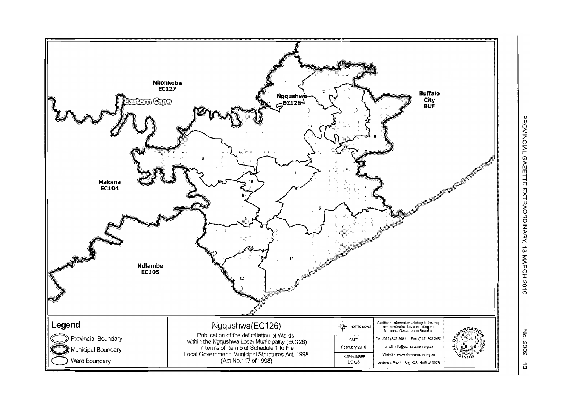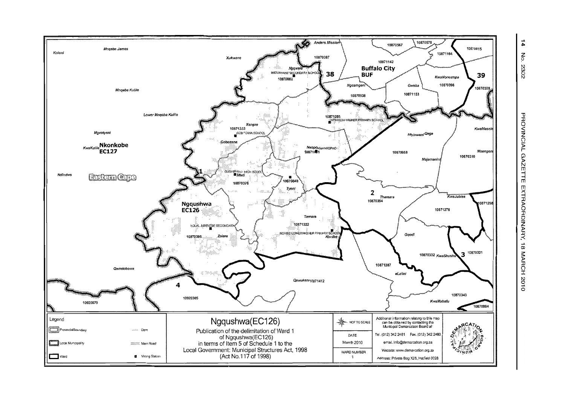

 $\frac{1}{4}$  $\mathbf{g}_\mathrm{c}$ 2302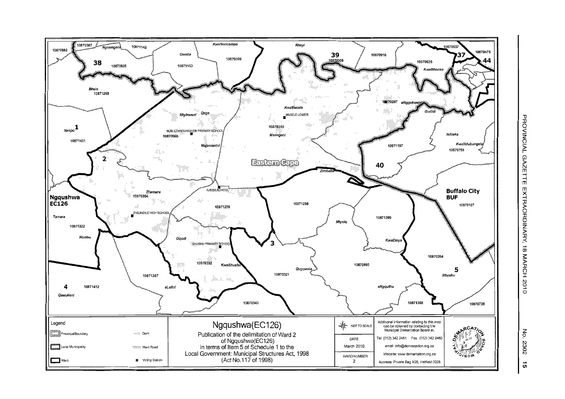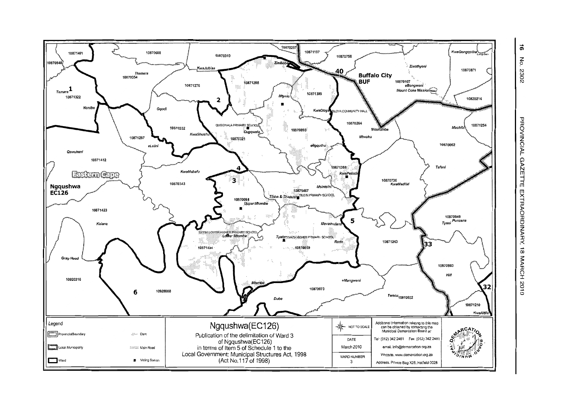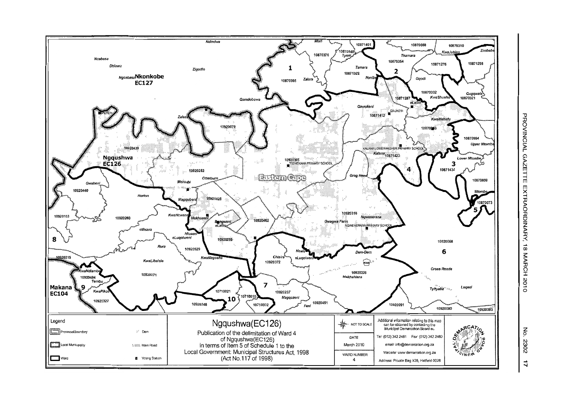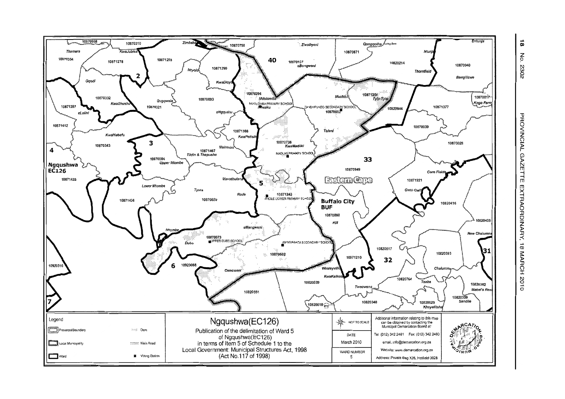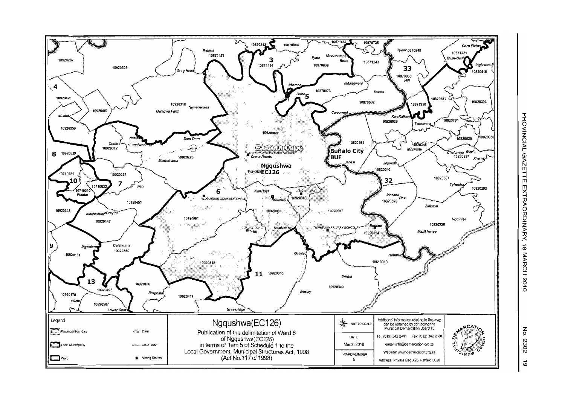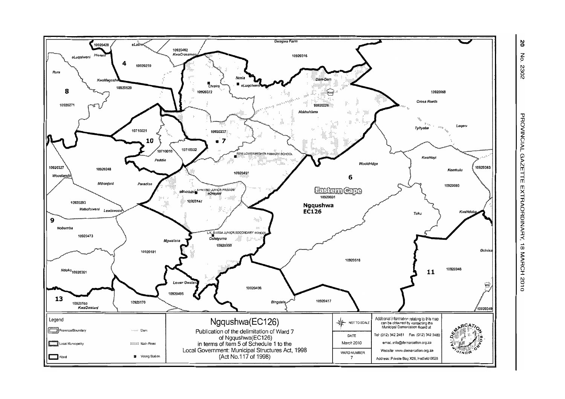

ΩŚ  $\mathsf{S}$ 2302

PROVINCIAL GAZETTE EXTRAORDINARY, 18 MARCH 2010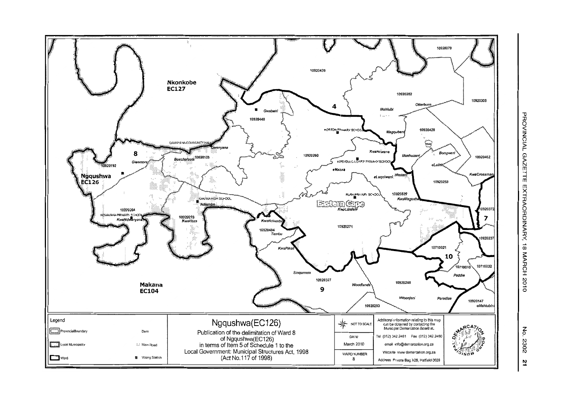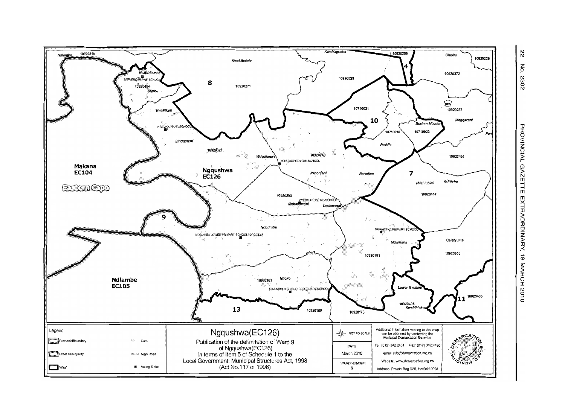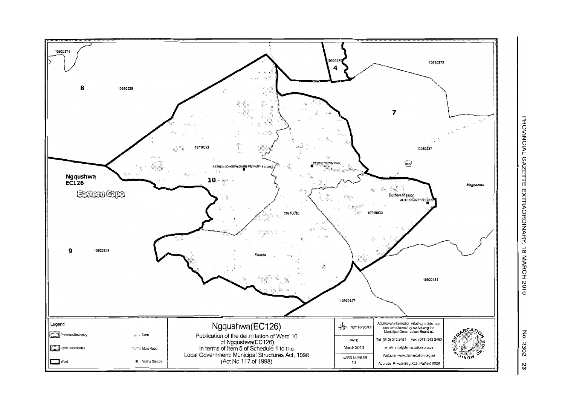

z<br>P N co o N 23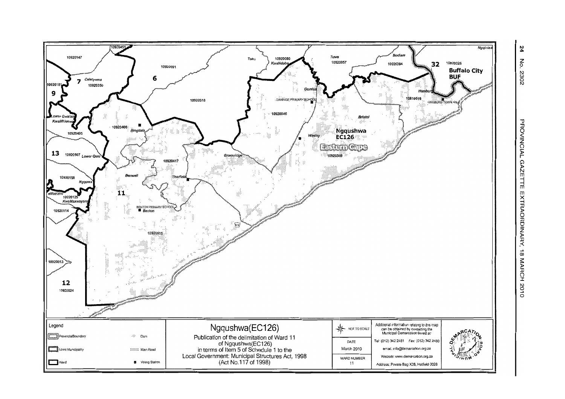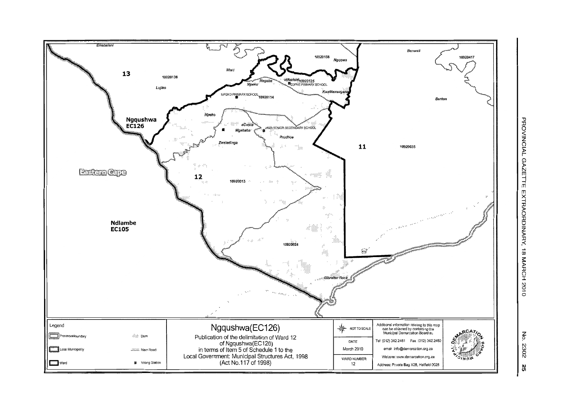